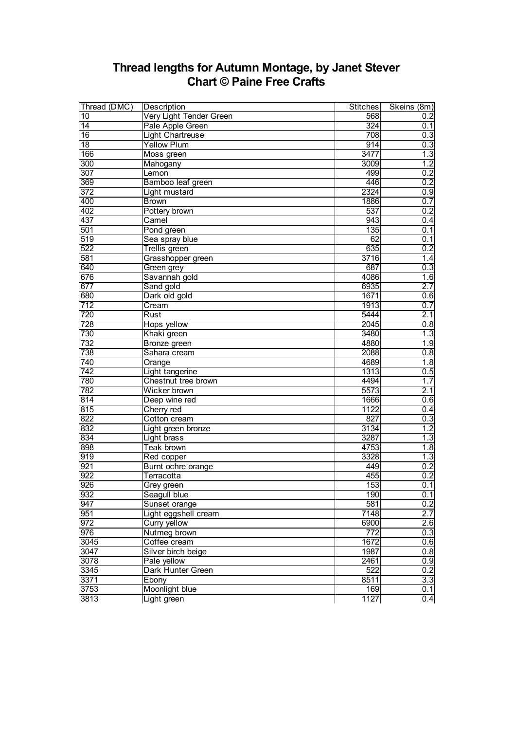## **Thread lengths for Autumn Montage, by Janet Stever Chart © Paine Free Crafts**

| Thread (DMC)    | Description             | <b>Stitches</b>  | Skeins (8m)      |
|-----------------|-------------------------|------------------|------------------|
| 10              | Very Light Tender Green | 568              | 0.2              |
| $\overline{14}$ | Pale Apple Green        | 324              | 0.1              |
| $\overline{16}$ | <b>Light Chartreuse</b> | 708              | 0.3              |
| $\overline{18}$ | <b>Yellow Plum</b>      | 914              | 0.3              |
| 166             | Moss green              | 3477             | 1.3              |
| 300             | Mahogany                | 3009             | 1.2              |
| 307             | Lemon                   | 499              | 0.2              |
| 369             | Bamboo leaf green       | 446              | 0.2              |
| 372             | Light mustard           | 2324             | 0.9              |
| 400             | <b>Brown</b>            | 1886             | 0.7              |
| 402             | Pottery brown           | 537              | $\overline{0.2}$ |
| 437             | Camel                   | 943              | 0.4              |
| 501             | Pond green              | 135              | 0.1              |
| 519             | Sea spray blue          | 62               | 0.1              |
| 522             | <b>Trellis green</b>    | 635              | 0.2              |
| 581             | Grasshopper green       | 3716             | 1.4              |
| 640             | Green grey              | 687              | 0.3              |
| 676             | Savannah gold           | 4086             | 1.6              |
| 677             | Sand gold               | 6935             | 2.7              |
| 680             | Dark old gold           | 1671             | 0.6              |
| 712             | Cream                   | 1913             | 0.7              |
| 720             | Rust                    | 5444             | 2.1              |
| 728             | Hops yellow             | 2045             | 0.8              |
| 730             | Khaki green             | 3480             | 1.3              |
| 732             | <b>Bronze</b> green     | 4880             | 1.9              |
| 738             | Sahara cream            | 2088             | 0.8              |
| 740             | Orange                  | 4689             | 1.8              |
| 742             | Light tangerine         | 1313             | 0.5              |
| 780             | Chestnut tree brown     | 4494             | 1.7              |
| 782             | Wicker brown            | 5573             | 2.1              |
| 814             | Deep wine red           | 1666             | 0.6              |
| 815             | Cherry red              | 1122             | 0.4              |
| 822             | Cotton cream            | 827              | 0.3              |
| 832             | Light green bronze      | 3134             | 1.2              |
| 834             | Light brass             | 3287             | 1.3              |
| 898             | Teak brown              | 4753             | 1.8              |
| 919             | Red copper              | 3328             | 1.3              |
| 921             | Burnt ochre orange      | 449              | 0.2              |
| 922             | Terracotta              | 455              | 0.2              |
| 926             | Grey green              | 153              | 0.1              |
| 932             | Seagull blue            | 190              | 0.1              |
| 947             | Sunset orange           | 581              | 0.2              |
| 951             | Light eggshell cream    | 7148             | 2.7              |
| 972             | Curry yellow            | 6900             | 2.6              |
| 976             | Nutmeg brown            | $\overline{772}$ | 0.3              |
| 3045            | Coffee cream            | 1672             | 0.6              |
| 3047            | Silver birch beige      | 1987             | 0.8              |
| 3078            | Pale yellow             | 2461             | 0.9              |
| 3345            | Dark Hunter Green       | 522              | 0.2              |
| 3371            | Ebony                   | 8511             | 3.3              |
| 3753            | Moonlight blue          | 169              | 0.1              |
| 3813            | Light green             | 1127             | 0.4              |